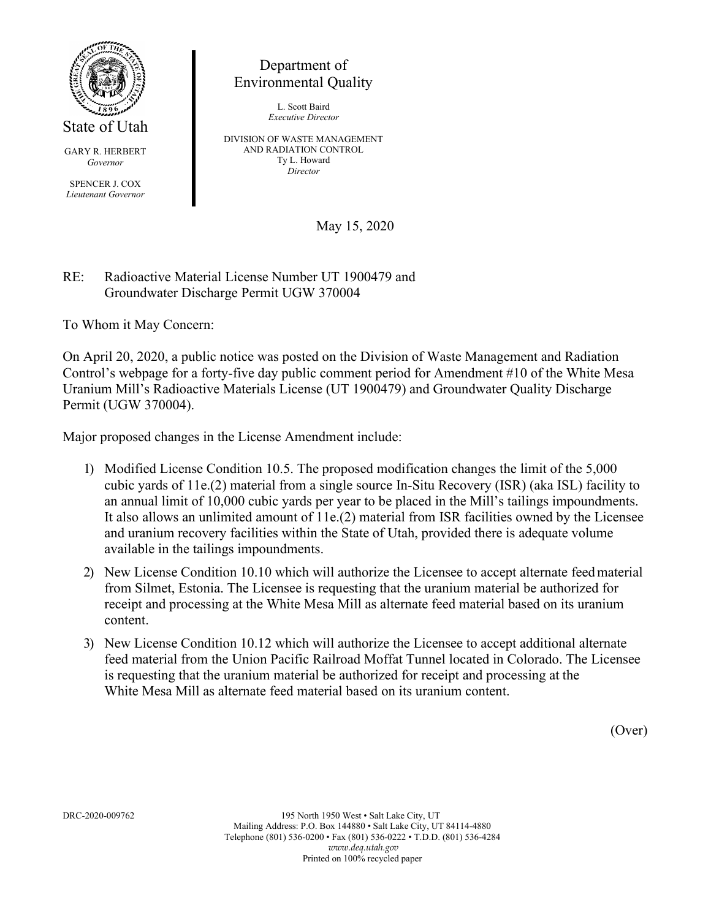

State of Utah

GARY R. HERBERT *Governor*

SPENCER J. COX *Lieutenant Governor*

## Department of Environmental Quality

L. Scott Baird *Executive Director*

DIVISION OF WASTE MANAGEMENT AND RADIATION CONTROL Ty L. Howard *Director*

May 15, 2020

## RE: Radioactive Material License Number UT 1900479 and Groundwater Discharge Permit UGW 370004

To Whom it May Concern:

On April 20, 2020, a public notice was posted on the Division of Waste Management and Radiation Control's webpage for a forty-five day public comment period for Amendment #10 of the White Mesa Uranium Mill's Radioactive Materials License (UT 1900479) and Groundwater Quality Discharge Permit (UGW 370004).

Major proposed changes in the License Amendment include:

- 1) Modified License Condition 10.5. The proposed modification changes the limit of the 5,000 cubic yards of 11e.(2) material from a single source In-Situ Recovery (ISR) (aka ISL) facility to an annual limit of 10,000 cubic yards per year to be placed in the Mill's tailings impoundments. It also allows an unlimited amount of 11e.(2) material from ISR facilities owned by the Licensee and uranium recovery facilities within the State of Utah, provided there is adequate volume available in the tailings impoundments.
- 2) New License Condition 10.10 which will authorize the Licensee to accept alternate feedmaterial from Silmet, Estonia. The Licensee is requesting that the uranium material be authorized for receipt and processing at the White Mesa Mill as alternate feed material based on its uranium content.
- 3) New License Condition 10.12 which will authorize the Licensee to accept additional alternate feed material from the Union Pacific Railroad Moffat Tunnel located in Colorado. The Licensee is requesting that the uranium material be authorized for receipt and processing at the White Mesa Mill as alternate feed material based on its uranium content.

(Over)

DRC-2020-009762 195 North 1950 West • Salt Lake City, UT Mailing Address: P.O. Box 144880 • Salt Lake City, UT 84114-4880 Telephone (801) 536-0200 • Fax (801) 536-0222 • T.D.D. (801) 536-4284 *[www.deq.utah.gov](http://www.deq.utah.gov/)* Printed on 100% recycled paper